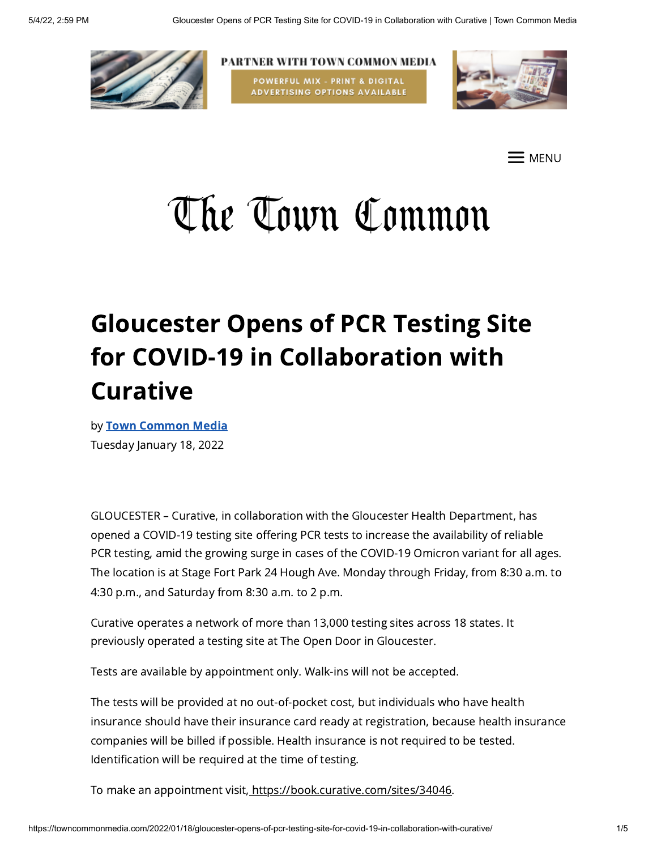

PARTNER WITH TOWN COMMON MEDIA POWERFUL MIX - PRINT & DIGITAL **ADVERTISING OPTIONS AVAILABLE** 



E menu

# The Town Common

# Gloucester Opens of PCR Testing Site for COVID-19 in Collaboration with Curative

by Town [Common](https://towncommonmedia.com/author/towncommonmedia/) Media Tuesday January 18, 2022

GLOUCESTER – Curative, in collaboration with the Gloucester Health Department, has opened a COVID-19 testing site offering PCR tests to increase the availability of reliable PCR testing, amid the growing surge in cases of the COVID-19 Omicron variant for all ages. The location is at Stage Fort Park 24 Hough Ave. Monday through Friday, from 8:30 a.m. to 4:30 p.m., and Saturday from 8:30 a.m. to 2 p.m.

Curative operates a network of more than 13,000 testing sites across 18 states. It previously operated a testing site at The Open Door in Gloucester.

Tests are available by appointment only. Walk-ins will not be accepted.

The tests will be provided at no out-of-pocket cost, but individuals who have health insurance should have their insurance card ready at registration, because health insurance companies will be billed if possible. Health insurance is not required to be tested. Identification will be required at the time of testing.

To make an appointment visit, <https://book.curative.com/sites/34046>.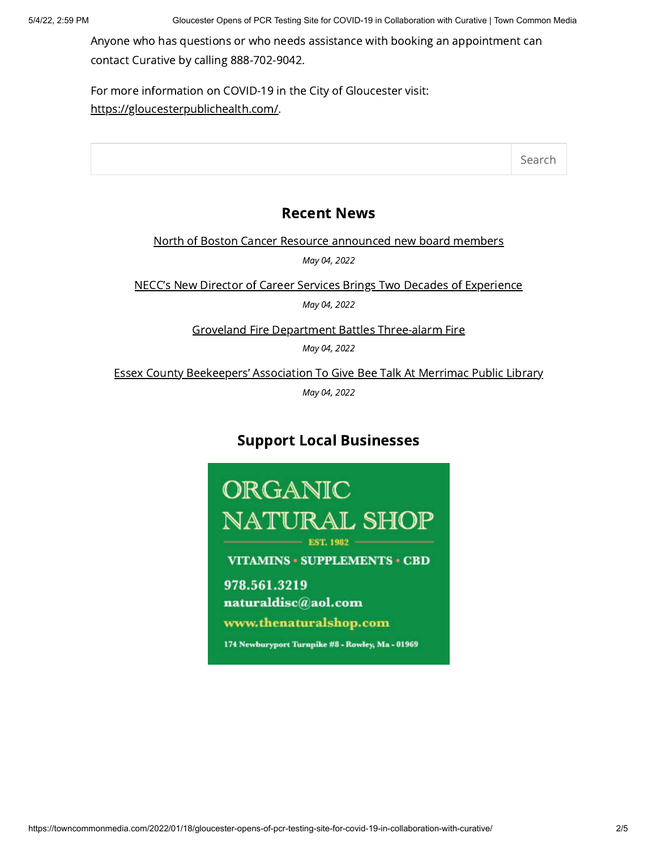Anyone who has questions or who needs assistance with booking an appointment can contact Curative by calling 888-702-9042.

For more information on COVID-19 in the City of Gloucester visit: <https://gloucesterpublichealth.com/>.

Search

# Recent News

North of Boston Cancer Resource [announced](https://towncommonmedia.com/2022/05/04/north-of-boston-cancer-resource-announced-new-board-members/) new board members

May 04, 2022

NECC's New Director of Career Services Brings Two Decades of [Experience](https://towncommonmedia.com/2022/05/04/neccs-new-director-of-career-services-brings-two-decades-of-experience/)

May 04, 2022

Groveland Fire Department Battles [Three-alarm](https://towncommonmedia.com/2022/05/04/groveland-fire-department-battles-three-alarm-fire/) Fire

May 04, 2022

Essex County [Beekeepers'](https://towncommonmedia.com/2022/05/04/essex-county-beekeepers-association-to-give-bee-talk-at-merrimac-public-library/) Association To Give Bee Talk At Merrimac Public Library

May 04, 2022

# Support Local Businesses

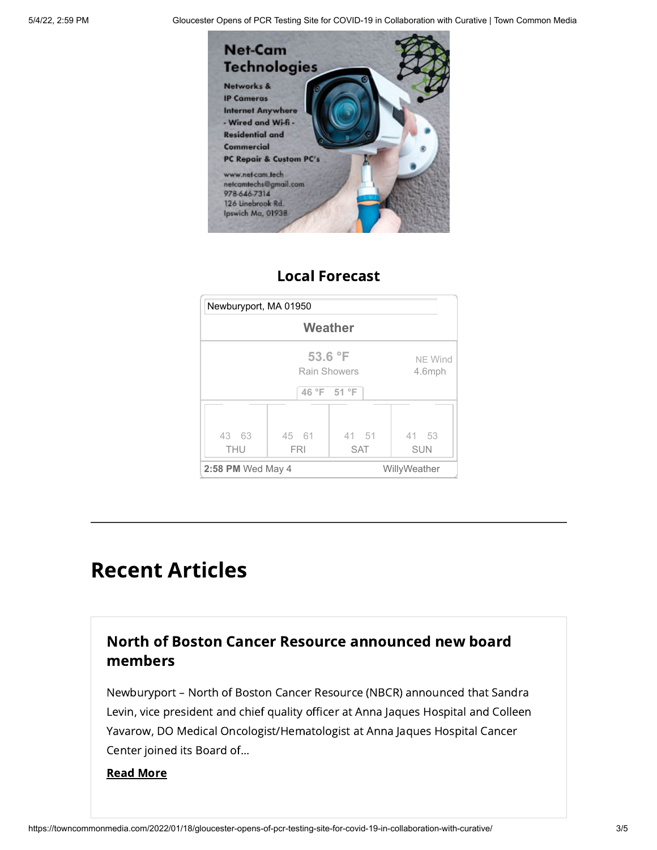5/4/22, 2:59 PM Gloucester Opens of PCR Testing Site for COVID-19 in Collaboration with Curative | Town Common Media



# Local Forecast



# Recent Articles

# North of Boston Cancer Resource [announced](https://towncommonmedia.com/2022/05/04/north-of-boston-cancer-resource-announced-new-board-members/) new board members

Newburyport – North of Boston Cancer Resource (NBCR) announced that Sandra Levin, vice president and chief quality officer at Anna Jaques Hospital and Colleen Yavarow, DO Medical Oncologist/Hematologist at Anna Jaques Hospital Cancer Center joined its Board of...

#### Read [More](https://towncommonmedia.com/2022/05/04/north-of-boston-cancer-resource-announced-new-board-members/)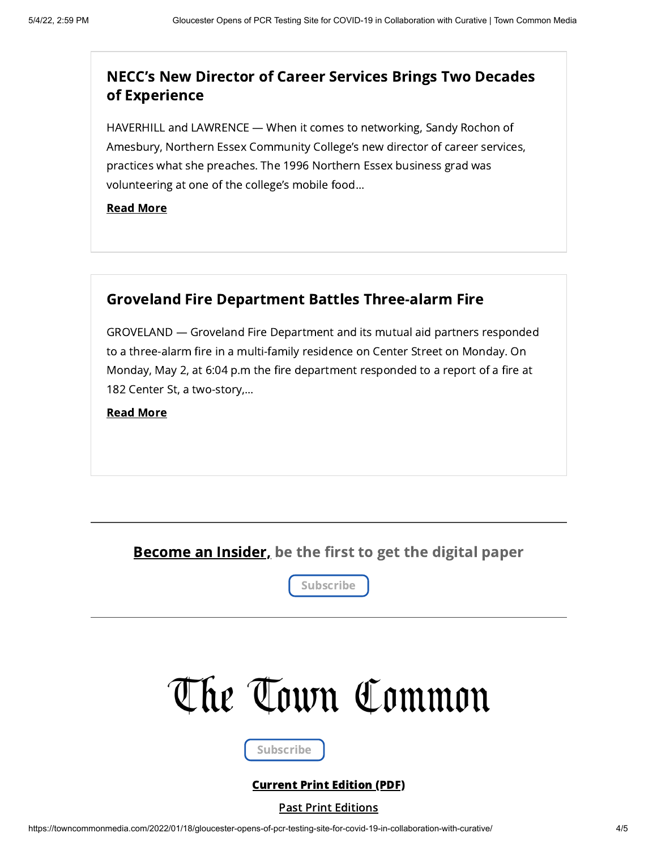### NECC's New Director of Career Services Brings Two Decades of [Experience](https://towncommonmedia.com/2022/05/04/neccs-new-director-of-career-services-brings-two-decades-of-experience/)

HAVERHILL and LAWRENCE — When it comes to networking, Sandy Rochon of Amesbury, Northern Essex Community College's new director of career services, practices what she preaches. The 1996 Northern Essex business grad was volunteering at one of the college's mobile food...

Read [More](https://towncommonmedia.com/2022/05/04/neccs-new-director-of-career-services-brings-two-decades-of-experience/)

# Groveland Fire Department Battles [Three-alarm](https://towncommonmedia.com/2022/05/04/groveland-fire-department-battles-three-alarm-fire/) Fire

GROVELAND — Groveland Fire Department and its mutual aid partners responded to a three-alarm fire in a multi-family residence on Center Street on Monday. On Monday, May 2, at 6:04 p.m the fire department responded to a report of a fire at 182 Center St, a two-story,...

Read [More](https://towncommonmedia.com/2022/05/04/groveland-fire-department-battles-three-alarm-fire/)

Become an Insider, be the first to get the digital paper



# The Town Common

Subscribe

### [Current](https://towncommonmedia.com/wp-content/uploads/2022/05/TTC_05_04_22_Vol.18-No.28-web.pdf) Print Edition (PDF)

#### Past Print [Editions](https://towncommonmedia.com/print-editions/)